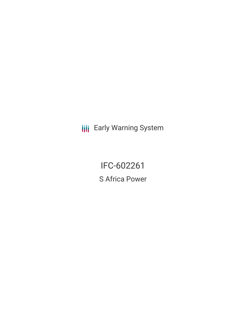**III** Early Warning System

IFC-602261 S Africa Power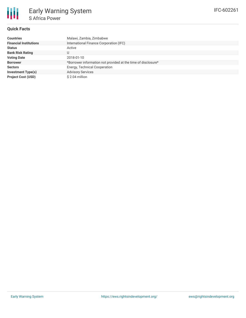### **Quick Facts**

| <b>Countries</b>              | Malawi, Zambia, Zimbabwe                                      |
|-------------------------------|---------------------------------------------------------------|
| <b>Financial Institutions</b> | International Finance Corporation (IFC)                       |
| <b>Status</b>                 | Active                                                        |
| <b>Bank Risk Rating</b>       | U                                                             |
| <b>Voting Date</b>            | 2018-01-10                                                    |
| <b>Borrower</b>               | *Borrower information not provided at the time of disclosure* |
| <b>Sectors</b>                | Energy, Technical Cooperation                                 |
| <b>Investment Type(s)</b>     | <b>Advisory Services</b>                                      |
| <b>Project Cost (USD)</b>     | \$2.04 million                                                |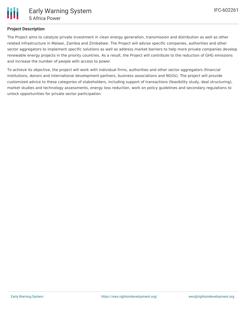## **Project Description**

The Project aims to catalyze private investment in clean energy generation, transmission and distribution as well as other related infrastructure in Malawi, Zambia and Zimbabwe. The Project will advise specific companies, authorities and other sector aggregators to implement specific solutions as well as address market barriers to help more private companies develop renewable energy projects in the priority countries. As a result, the Project will contribute to the reduction of GHG emissions and increase the number of people with access to power.

To achieve its objective, the project will work with individual firms, authorities and other sector aggregators (financial institutions, donors and international development partners, business associations and NGOs). The project will provide customized advice to these categories of stakeholders, including support of transactions (feasibility study, deal structuring), market studies and technology assessments, energy loss reduction, work on policy guidelines and secondary regulations to unlock opportunities for private sector participation.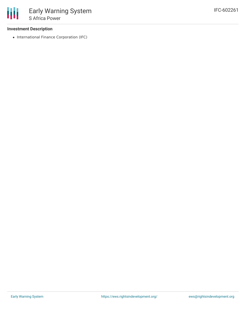### **Investment Description**

• International Finance Corporation (IFC)